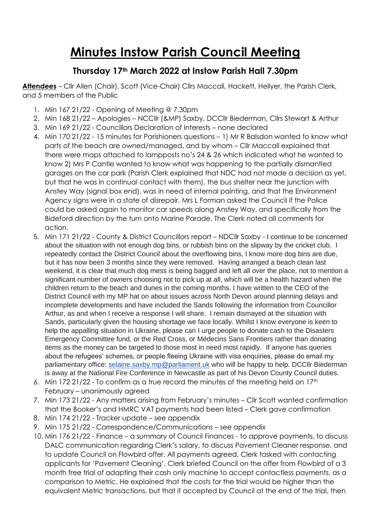# **Minutes Instow Parish Council Meeting**

## **Thursday 17th March 2022 at Instow Parish Hall 7.30pm**

**Attendees** – Cllr Allen (Chair), Scott (Vice-Chair) Cllrs Maccall, Hackett, Hellyer, the Parish Clerk, and 5 members of the Public

- 1. Min 167 21/22 Opening of Meeting @ 7.30pm
- 2. Min 168 21/22 Apologies NCCllr (&MP) Saxby, DCCllr Biederman, Cllrs Stewart & Arthur
- 3. Min 169 21/22 Councillors Declaration of Interests none declared
- 4. Min 170 21/22 15 minutes for Parishioners questions 1) Mr R Balsdon wanted to know what parts of the beach are owned/managed, and by whom – Cllr Maccall explained that there were maps attached to lampposts no's 24 & 26 which indicated what he wanted to know 2) Mrs P Cantle wanted to know what was happening to the partially dismantled garages on the car park (Parish Clerk explained that NDC had not made a decision as yet, but that he was in continual contact with them), the bus shelter near the junction with Anstey Way (signal box end), was in need of internal painting, and that the Environment Agency signs were in a state of disrepair. Mrs L Forman asked the Council if the Police could be asked again to monitor car speeds along Anstey Way, and specifically from the Bideford direction by the turn onto Marine Parade. The Clerk noted all comments for action.
- 5. Min 171 21/22 County & District Councillors report NDCllr Saxby I continue to be concerned about the situation with not enough dog bins, or rubbish bins on the slipway by the cricket club. I repeatedly contact the District Council about the overflowing bins, I know more dog bins are due, but it has now been 3 months since they were removed. Having arranged a beach clean last weekend, it is clear that much dog mess is being bagged and left all over the place, not to mention a significant number of owners choosing not to pick up at all, which will be a health hazard when the children return to the beach and dunes in the coming months. I have written to the CEO of the District Council with my MP hat on about issues across North Devon around planning delays and incomplete developments and have included the Sands following the information from Councillor Arthur, as and when I receive a response I will share. I remain dismayed at the situation with Sands, particularly given the housing shortage we face locally. Whilst I know everyone is keen to help the appalling situation in Ukraine, please can I urge people to donate cash to the Disasters Emergency Committee fund, or the Red Cross, or Médecins Sans Frontiers rather than donating items as the money can be targeted to those most in need most rapidly. If anyone has queries about the refugees' schemes, or people fleeing Ukraine with visa enquiries, please do email my parliamentary office: [selaine.saxby.mp@parliament.uk](mailto:selaine.saxby.mp@parliament.uk) who will be happy to help. DCCllr Biederman is away at the National Fire Conference in Newcastle as part of his Devon County Council duties.
- 6. Min 172 21/22 To confirm as a true record the minutes of the meeting held on  $17<sup>th</sup>$ February – unanimously agreed
- 7. Min 173 21/22 Any matters arising from February's minutes Cllr Scott wanted confirmation that the Booker's and HMRC VAT payments had been listed – Clerk gave confirmation
- 8. Min 174 21/22 Tracker update see appendix
- 9. Min 175 21/22 Correspondence/Communications see appendix
- 10. Min 176 21/22 Finance a summary of Council Finances to approve payments, to discuss DALC communication regarding Clerk's salary, to discuss Pavement Cleaner response, and to update Council on Flowbird offer. All payments agreed, Clerk tasked with contacting applicants for 'Pavement Cleaning'. Clerk briefed Council on the offer from Flowbird of a 3 month free trial of adapting their cash only machine to accept contactless payments, as a comparison to Metric. He explained that the costs for the trial would be higher than the equivalent Metric transactions, but that if accepted by Council at the end of the trial, then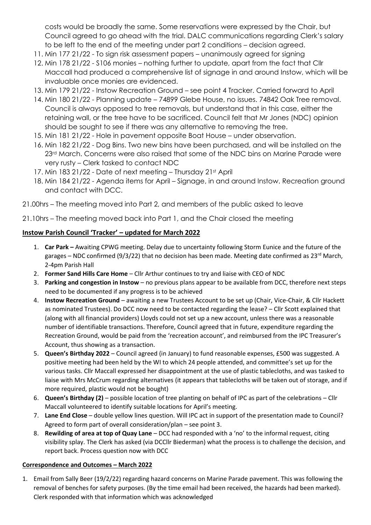costs would be broadly the same. Some reservations were expressed by the Chair, but Council agreed to go ahead with the trial. DALC communications regarding Clerk's salary to be left to the end of the meeting under part 2 conditions – decision agreed.

- 11. Min 177 21/22 To sign risk assessment papers unanimously agreed for signing
- 12. Min 178 21/22 S106 monies nothing further to update, apart from the fact that Cllr Maccall had produced a comprehensive list of signage in and around Instow, which will be invaluable once monies are evidenced.
- 13. Min 179 21/22 Instow Recreation Ground see point 4 Tracker. Carried forward to April
- 14. Min 180 21/22 Planning update 74899 Glebe House, no issues. 74842 Oak Tree removal. Council is always opposed to tree removals, but understand that in this case, either the retaining wall, or the tree have to be sacrificed. Council felt that Mr Jones (NDC) opinion should be sought to see if there was any alternative to removing the tree.
- 15. Min 181 21/22 Hole in pavement opposite Boat House under observation.
- 16. Min 182 21/22 Dog Bins. Two new bins have been purchased, and will be installed on the 23<sup>rd</sup> March. Concerns were also raised that some of the NDC bins on Marine Parade were very rusty – Clerk tasked to contact NDC
- 17. Min 183 21/22 Date of next meeting Thursday 21st April
- 18. Min 184 21/22 Agenda items for April Signage, in and around Instow. Recreation ground and contact with DCC.
- 21.00hrs The meeting moved into Part 2, and members of the public asked to leave

21.10hrs – The meeting moved back into Part 1, and the Chair closed the meeting

#### **Instow Parish Council 'Tracker' – updated for March 2022**

- 1. **Car Park –** Awaiting CPWG meeting. Delay due to uncertainty following Storm Eunice and the future of the garages – NDC confirmed (9/3/22) that no decision has been made. Meeting date confirmed as 23<sup>rd</sup> March, 2-4pm Parish Hall
- 2. **Former Sand Hills Care Home** Cllr Arthur continues to try and liaise with CEO of NDC
- 3. **Parking and congestion in Instow**  no previous plans appear to be available from DCC, therefore next steps need to be documented if any progress is to be achieved
- 4. **Instow Recreation Ground**  awaiting a new Trustees Account to be set up (Chair, Vice-Chair, & Cllr Hackett as nominated Trustees). Do DCC now need to be contacted regarding the lease? – Cllr Scott explained that (along with all financial providers) Lloyds could not set up a new account, unless there was a reasonable number of identifiable transactions. Therefore, Council agreed that in future, expenditure regarding the Recreation Ground, would be paid from the 'recreation account', and reimbursed from the IPC Treasurer's Account, thus showing as a transaction.
- 5. **Queen's Birthday 2022** Council agreed (in January) to fund reasonable expenses, £500 was suggested. A positive meeting had been held by the WI to which 24 people attended, and committee's set up for the various tasks. Cllr Maccall expressed her disappointment at the use of plastic tablecloths, and was tasked to liaise with Mrs McCrum regarding alternatives (it appears that tablecloths will be taken out of storage, and if more required, plastic would not be bought)
- 6. **Queen's Birthday (2)** possible location of tree planting on behalf of IPC as part of the celebrations Cllr Maccall volunteered to identify suitable locations for April's meeting.
- 7. **Lane End Close**  double yellow lines question. Will IPC act in support of the presentation made to Council? Agreed to form part of overall consideration/plan – see point 3.
- 8. **Rewilding of area at top of Quay Lane**  DCC had responded with a 'no' to the informal request, citing visibility splay. The Clerk has asked (via DCCllr Biederman) what the process is to challenge the decision, and report back. Process question now with DCC

#### **Correspondence and Outcomes – March 2022**

1. Email from Sally Beer (19/2/22) regarding hazard concerns on Marine Parade pavement. This was following the removal of benches for safety purposes. (By the time email had been received, the hazards had been marked). Clerk responded with that information which was acknowledged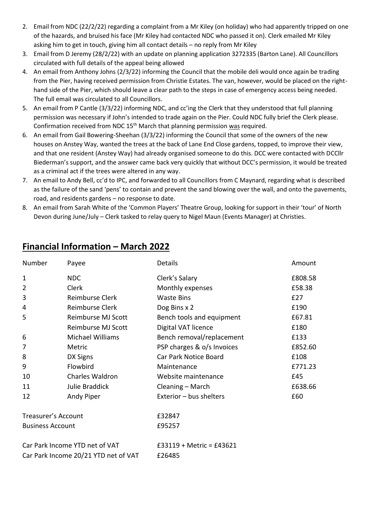- 2. Email from NDC (22/2/22) regarding a complaint from a Mr Kiley (on holiday) who had apparently tripped on one of the hazards, and bruised his face (Mr Kiley had contacted NDC who passed it on). Clerk emailed Mr Kiley asking him to get in touch, giving him all contact details – no reply from Mr Kiley
- 3. Email from D Jeremy (28/2/22) with an update on planning application 3272335 (Barton Lane). All Councillors circulated with full details of the appeal being allowed
- 4. An email from Anthony Johns (2/3/22) informing the Council that the mobile deli would once again be trading from the Pier, having received permission from Christie Estates. The van, however, would be placed on the righthand side of the Pier, which should leave a clear path to the steps in case of emergency access being needed. The full email was circulated to all Councillors.
- 5. An email from P Cantle (3/3/22) informing NDC, and cc'ing the Clerk that they understood that full planning permission was necessary if John's intended to trade again on the Pier. Could NDC fully brief the Clerk please. Confirmation received from NDC 15<sup>th</sup> March that planning permission was required.
- 6. An email from Gail Bowering-Sheehan (3/3/22) informing the Council that some of the owners of the new houses on Anstey Way, wanted the trees at the back of Lane End Close gardens, topped, to improve their view, and that one resident (Anstey Way) had already organised someone to do this. DCC were contacted with DCCllr Biederman's support, and the answer came back very quickly that without DCC's permission, it would be treated as a criminal act if the trees were altered in any way.
- 7. An email to Andy Bell, cc'd to IPC, and forwarded to all Councillors from C Maynard, regarding what is described as the failure of the sand 'pens' to contain and prevent the sand blowing over the wall, and onto the pavements, road, and residents gardens – no response to date.
- 8. An email from Sarah White of the 'Common Players' Theatre Group, looking for support in their 'tour' of North Devon during June/July – Clerk tasked to relay query to Nigel Maun (Events Manager) at Christies.

| Number                               | Payee                     | Details                    | Amount  |
|--------------------------------------|---------------------------|----------------------------|---------|
| $\mathbf 1$                          | <b>NDC</b>                | Clerk's Salary             | £808.58 |
| $\overline{2}$                       | Clerk                     | Monthly expenses           | £58.38  |
| 3                                    | Reimburse Clerk           | <b>Waste Bins</b>          | E27     |
| 4                                    | Reimburse Clerk           | Dog Bins x 2               | £190    |
| 5                                    | Reimburse MJ Scott        | Bench tools and equipment  | £67.81  |
|                                      | <b>Reimburse MJ Scott</b> | Digital VAT licence        | £180    |
| 6                                    | Michael Williams          | Bench removal/replacement  | £133    |
| 7                                    | Metric                    | PSP charges & o/s Invoices | £852.60 |
| 8                                    | DX Signs                  | Car Park Notice Board      | £108    |
| 9                                    | Flowbird                  | Maintenance                | £771.23 |
| 10                                   | Charles Waldron           | Website maintenance        | £45     |
| 11                                   | Julie Braddick            | Cleaning - March           | £638.66 |
| 12                                   | Andy Piper                | Exterior - bus shelters    | £60     |
| Treasurer's Account                  |                           | £32847                     |         |
| <b>Business Account</b>              |                           | £95257                     |         |
| Car Park Income YTD net of VAT       |                           | $£33119 + Metric = £43621$ |         |
| Car Park Income 20/21 YTD net of VAT |                           | £26485                     |         |

### **Financial Information – March 2022**